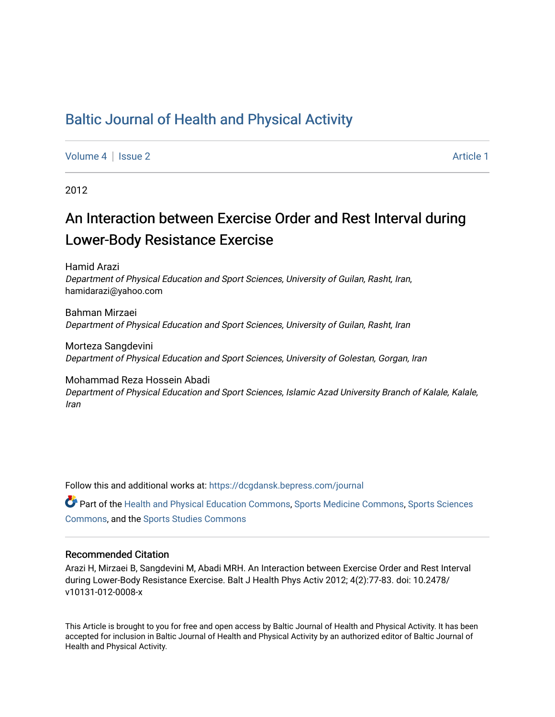# [Baltic Journal of Health and Physical Activity](https://dcgdansk.bepress.com/journal)

[Volume 4](https://dcgdansk.bepress.com/journal/vol4) | [Issue 2](https://dcgdansk.bepress.com/journal/vol4/iss2) Article 1

2012

# An Interaction between Exercise Order and Rest Interval during Lower-Body Resistance Exercise

Hamid Arazi Department of Physical Education and Sport Sciences, University of Guilan, Rasht, Iran, hamidarazi@yahoo.com

Bahman Mirzaei Department of Physical Education and Sport Sciences, University of Guilan, Rasht, Iran

Morteza Sangdevini Department of Physical Education and Sport Sciences, University of Golestan, Gorgan, Iran

Mohammad Reza Hossein Abadi Department of Physical Education and Sport Sciences, Islamic Azad University Branch of Kalale, Kalale, Iran

Follow this and additional works at: [https://dcgdansk.bepress.com/journal](https://dcgdansk.bepress.com/journal?utm_source=dcgdansk.bepress.com%2Fjournal%2Fvol4%2Fiss2%2F1&utm_medium=PDF&utm_campaign=PDFCoverPages)

Part of the [Health and Physical Education Commons](http://network.bepress.com/hgg/discipline/1327?utm_source=dcgdansk.bepress.com%2Fjournal%2Fvol4%2Fiss2%2F1&utm_medium=PDF&utm_campaign=PDFCoverPages), [Sports Medicine Commons,](http://network.bepress.com/hgg/discipline/1331?utm_source=dcgdansk.bepress.com%2Fjournal%2Fvol4%2Fiss2%2F1&utm_medium=PDF&utm_campaign=PDFCoverPages) [Sports Sciences](http://network.bepress.com/hgg/discipline/759?utm_source=dcgdansk.bepress.com%2Fjournal%2Fvol4%2Fiss2%2F1&utm_medium=PDF&utm_campaign=PDFCoverPages) [Commons](http://network.bepress.com/hgg/discipline/759?utm_source=dcgdansk.bepress.com%2Fjournal%2Fvol4%2Fiss2%2F1&utm_medium=PDF&utm_campaign=PDFCoverPages), and the [Sports Studies Commons](http://network.bepress.com/hgg/discipline/1198?utm_source=dcgdansk.bepress.com%2Fjournal%2Fvol4%2Fiss2%2F1&utm_medium=PDF&utm_campaign=PDFCoverPages) 

#### Recommended Citation

Arazi H, Mirzaei B, Sangdevini M, Abadi MRH. An Interaction between Exercise Order and Rest Interval during Lower-Body Resistance Exercise. Balt J Health Phys Activ 2012; 4(2):77-83. doi: 10.2478/ v10131-012-0008-x

This Article is brought to you for free and open access by Baltic Journal of Health and Physical Activity. It has been accepted for inclusion in Baltic Journal of Health and Physical Activity by an authorized editor of Baltic Journal of Health and Physical Activity.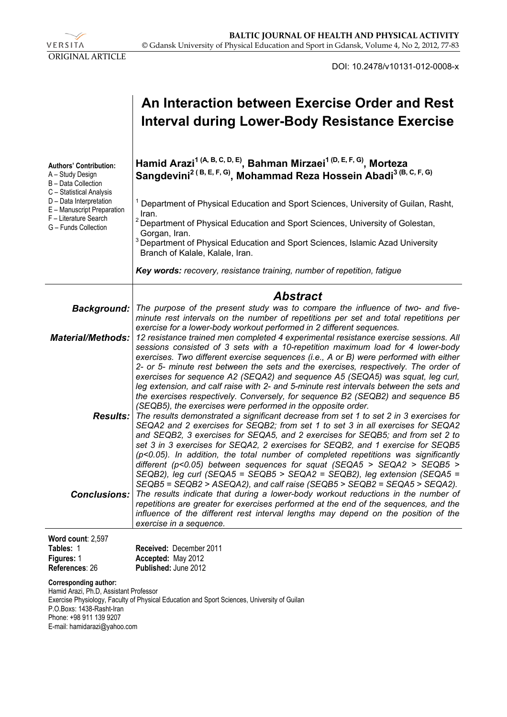

DOI: 10.2478/v10131-012-0008-x

|                                                                                                                                                                                                                | An Interaction between Exercise Order and Rest<br>Interval during Lower-Body Resistance Exercise                                                                                                                                                                                                                                                                                                                                                                                                                                                                                                                                                                                                                                                                                                                                                           |  |  |  |  |
|----------------------------------------------------------------------------------------------------------------------------------------------------------------------------------------------------------------|------------------------------------------------------------------------------------------------------------------------------------------------------------------------------------------------------------------------------------------------------------------------------------------------------------------------------------------------------------------------------------------------------------------------------------------------------------------------------------------------------------------------------------------------------------------------------------------------------------------------------------------------------------------------------------------------------------------------------------------------------------------------------------------------------------------------------------------------------------|--|--|--|--|
| <b>Authors' Contribution:</b><br>A - Study Design<br>B - Data Collection<br>C - Statistical Analysis<br>D - Data Interpretation<br>E - Manuscript Preparation<br>F - Literature Search<br>G - Funds Collection | Hamid Arazi <sup>1 (A, B, C, D, E)</sup> , Bahman Mirzaei <sup>1 (D, E, F, G)</sup> , Morteza<br>Sangdevini <sup>2 (B, E, F, G)</sup> , Mohammad Reza Hossein Abadi <sup>3 (B, C, F, G)</sup>                                                                                                                                                                                                                                                                                                                                                                                                                                                                                                                                                                                                                                                              |  |  |  |  |
|                                                                                                                                                                                                                | <sup>1</sup> Department of Physical Education and Sport Sciences, University of Guilan, Rasht,<br>Iran.                                                                                                                                                                                                                                                                                                                                                                                                                                                                                                                                                                                                                                                                                                                                                    |  |  |  |  |
|                                                                                                                                                                                                                | <sup>2</sup> Department of Physical Education and Sport Sciences, University of Golestan,<br>Gorgan, Iran.                                                                                                                                                                                                                                                                                                                                                                                                                                                                                                                                                                                                                                                                                                                                                 |  |  |  |  |
|                                                                                                                                                                                                                | <sup>3</sup> Department of Physical Education and Sport Sciences, Islamic Azad University<br>Branch of Kalale, Kalale, Iran.                                                                                                                                                                                                                                                                                                                                                                                                                                                                                                                                                                                                                                                                                                                               |  |  |  |  |
|                                                                                                                                                                                                                | Key words: recovery, resistance training, number of repetition, fatigue                                                                                                                                                                                                                                                                                                                                                                                                                                                                                                                                                                                                                                                                                                                                                                                    |  |  |  |  |
|                                                                                                                                                                                                                | <b>Abstract</b>                                                                                                                                                                                                                                                                                                                                                                                                                                                                                                                                                                                                                                                                                                                                                                                                                                            |  |  |  |  |
| <b>Background:</b>                                                                                                                                                                                             | The purpose of the present study was to compare the influence of two- and five-<br>minute rest intervals on the number of repetitions per set and total repetitions per                                                                                                                                                                                                                                                                                                                                                                                                                                                                                                                                                                                                                                                                                    |  |  |  |  |
| <b>Material/Methods:</b>                                                                                                                                                                                       | exercise for a lower-body workout performed in 2 different sequences.<br>12 resistance trained men completed 4 experimental resistance exercise sessions. All<br>sessions consisted of 3 sets with a 10-repetition maximum load for 4 lower-body<br>exercises. Two different exercise sequences (i.e., A or B) were performed with either                                                                                                                                                                                                                                                                                                                                                                                                                                                                                                                  |  |  |  |  |
| <b>Results:</b>                                                                                                                                                                                                | 2- or 5- minute rest between the sets and the exercises, respectively. The order of<br>exercises for sequence A2 (SEQA2) and sequence A5 (SEQA5) was squat, leg curl,<br>leg extension, and calf raise with 2- and 5-minute rest intervals between the sets and<br>the exercises respectively. Conversely, for sequence B2 (SEQB2) and sequence B5<br>(SEQB5), the exercises were performed in the opposite order.<br>The results demonstrated a significant decrease from set 1 to set 2 in 3 exercises for<br>SEQA2 and 2 exercises for SEQB2; from set 1 to set 3 in all exercises for SEQA2<br>and SEQB2, 3 exercises for SEQA5, and 2 exercises for SEQB5; and from set 2 to<br>set 3 in 3 exercises for SEQA2, 2 exercises for SEQB2, and 1 exercise for SEQB5<br>(p<0.05). In addition, the total number of completed repetitions was significantly |  |  |  |  |
| <b>Conclusions:</b>                                                                                                                                                                                            | different ( $p$ <0.05) between sequences for squat (SEQA5 > SEQA2 > SEQB5 ><br>SEQB2), leg curl (SEQA5 = SEQB5 > SEQA2 = SEQB2), leg extension (SEQA5 =<br>$SEQB5 = SEQB2 > ASEQA2$ , and calf raise (SEQB5 > SEQB2 = SEQA5 > SEQA2).<br>The results indicate that during a lower-body workout reductions in the number of<br>repetitions are greater for exercises performed at the end of the sequences, and the<br>influence of the different rest interval lengths may depend on the position of the<br>exercise in a sequence.                                                                                                                                                                                                                                                                                                                        |  |  |  |  |
| Word count: 2,597<br>Tables: 1                                                                                                                                                                                 | Received: December 2011                                                                                                                                                                                                                                                                                                                                                                                                                                                                                                                                                                                                                                                                                                                                                                                                                                    |  |  |  |  |
| Figures: 1<br>References: 26                                                                                                                                                                                   | Accepted: May 2012<br>Published: June 2012                                                                                                                                                                                                                                                                                                                                                                                                                                                                                                                                                                                                                                                                                                                                                                                                                 |  |  |  |  |
| <b>Corresponding author:</b><br>Hamid Arazi, Ph.D, Assistant Professor                                                                                                                                         |                                                                                                                                                                                                                                                                                                                                                                                                                                                                                                                                                                                                                                                                                                                                                                                                                                                            |  |  |  |  |

Exercise Physiology, Faculty of Physical Education and Sport Sciences, University of Guilan P.O.Boxs: 1438-Rasht-Iran Phone: +98 911 139 9207 E-mail: hamidarazi@yahoo.com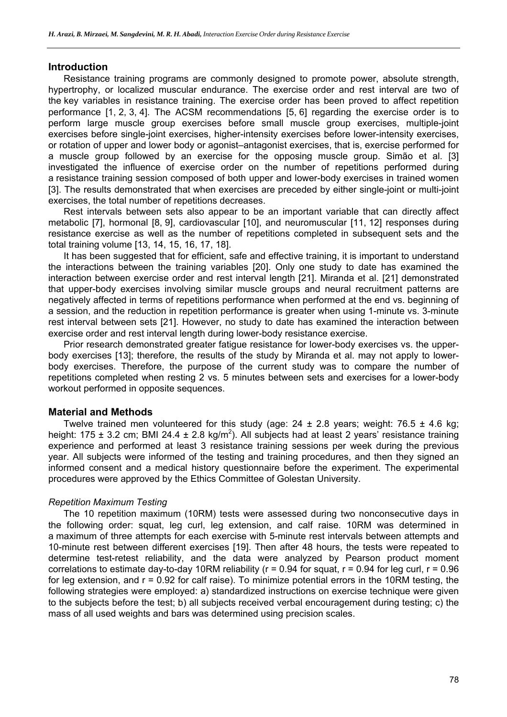#### **Introduction**

Resistance training programs are commonly designed to promote power, absolute strength, hypertrophy, or localized muscular endurance. The exercise order and rest interval are two of the key variables in resistance training. The exercise order has been proved to affect repetition performance [1, 2, 3, 4]. The ACSM recommendations [5, 6] regarding the exercise order is to perform large muscle group exercises before small muscle group exercises, multiple-joint exercises before single-joint exercises, higher-intensity exercises before lower-intensity exercises, or rotation of upper and lower body or agonist–antagonist exercises, that is, exercise performed for a muscle group followed by an exercise for the opposing muscle group. Simão et al. [3] investigated the influence of exercise order on the number of repetitions performed during a resistance training session composed of both upper and lower-body exercises in trained women [3]. The results demonstrated that when exercises are preceded by either single-joint or multi-joint exercises, the total number of repetitions decreases.

Rest intervals between sets also appear to be an important variable that can directly affect metabolic [7], hormonal [8, 9], cardiovascular [10], and neuromuscular [11, 12] responses during resistance exercise as well as the number of repetitions completed in subsequent sets and the total training volume [13, 14, 15, 16, 17, 18].

It has been suggested that for efficient, safe and effective training, it is important to understand the interactions between the training variables [20]. Only one study to date has examined the interaction between exercise order and rest interval length [21]. Miranda et al. [21] demonstrated that upper-body exercises involving similar muscle groups and neural recruitment patterns are negatively affected in terms of repetitions performance when performed at the end vs. beginning of a session, and the reduction in repetition performance is greater when using 1-minute vs. 3-minute rest interval between sets [21]. However, no study to date has examined the interaction between exercise order and rest interval length during lower-body resistance exercise.

Prior research demonstrated greater fatigue resistance for lower-body exercises vs. the upperbody exercises [13]; therefore, the results of the study by Miranda et al. may not apply to lowerbody exercises. Therefore, the purpose of the current study was to compare the number of repetitions completed when resting 2 vs. 5 minutes between sets and exercises for a lower-body workout performed in opposite sequences.

# **Material and Methods**

Twelve trained men volunteered for this study (age:  $24 \pm 2.8$  years; weight: 76.5  $\pm$  4.6 kg; height: 175  $\pm$  3.2 cm; BMI 24.4  $\pm$  2.8 kg/m<sup>2</sup>). All subjects had at least 2 years' resistance training experience and performed at least 3 resistance training sessions per week during the previous year. All subjects were informed of the testing and training procedures, and then they signed an informed consent and a medical history questionnaire before the experiment. The experimental procedures were approved by the Ethics Committee of Golestan University.

# *Repetition Maximum Testing*

The 10 repetition maximum (10RM) tests were assessed during two nonconsecutive days in the following order: squat, leg curl, leg extension, and calf raise. 10RM was determined in a maximum of three attempts for each exercise with 5-minute rest intervals between attempts and 10-minute rest between different exercises [19]. Then after 48 hours, the tests were repeated to determine test-retest reliability, and the data were analyzed by Pearson product moment correlations to estimate day-to-day 10RM reliability ( $r = 0.94$  for squat,  $r = 0.94$  for leg curl,  $r = 0.96$ for leg extension, and r = 0.92 for calf raise). To minimize potential errors in the 10RM testing, the following strategies were employed: a) standardized instructions on exercise technique were given to the subjects before the test; b) all subjects received verbal encouragement during testing; c) the mass of all used weights and bars was determined using precision scales.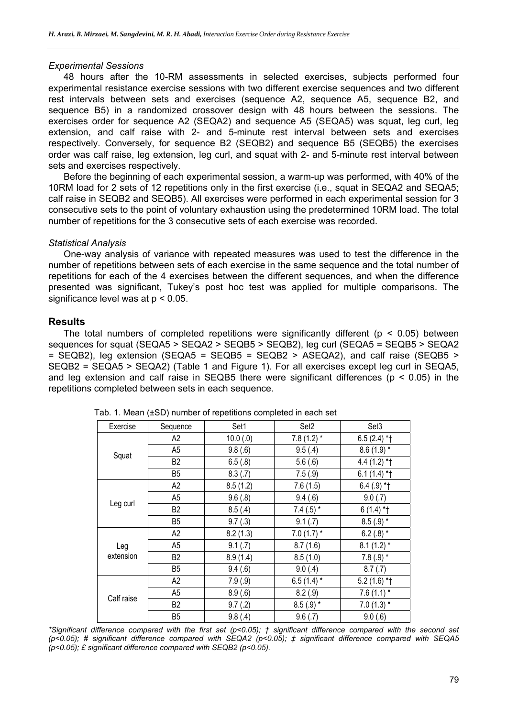#### *Experimental Sessions*

48 hours after the 10-RM assessments in selected exercises, subjects performed four experimental resistance exercise sessions with two different exercise sequences and two different rest intervals between sets and exercises (sequence A2, sequence A5, sequence B2, and sequence B5) in a randomized crossover design with 48 hours between the sessions. The exercises order for sequence A2 (SEQA2) and sequence A5 (SEQA5) was squat, leg curl, leg extension, and calf raise with 2- and 5-minute rest interval between sets and exercises respectively. Conversely, for sequence B2 (SEQB2) and sequence B5 (SEQB5) the exercises order was calf raise, leg extension, leg curl, and squat with 2- and 5-minute rest interval between sets and exercises respectively.

Before the beginning of each experimental session, a warm-up was performed, with 40% of the 10RM load for 2 sets of 12 repetitions only in the first exercise (i.e., squat in SEQA2 and SEQA5; calf raise in SEQB2 and SEQB5). All exercises were performed in each experimental session for 3 consecutive sets to the point of voluntary exhaustion using the predetermined 10RM load. The total number of repetitions for the 3 consecutive sets of each exercise was recorded.

#### *Statistical Analysis*

One-way analysis of variance with repeated measures was used to test the difference in the number of repetitions between sets of each exercise in the same sequence and the total number of repetitions for each of the 4 exercises between the different sequences, and when the difference presented was significant, Tukey's post hoc test was applied for multiple comparisons. The significance level was at  $p < 0.05$ .

# **Results**

The total numbers of completed repetitions were significantly different ( $p < 0.05$ ) between sequences for squat (SEQA5 > SEQA2 > SEQB5 > SEQB2), leg curl (SEQA5 = SEQB5 > SEQA2 = SEQB2), leg extension (SEQA5 = SEQB5 = SEQB2 > ASEQA2), and calf raise (SEQB5 > SEQB2 = SEQA5 > SEQA2) (Table 1 and Figure 1). For all exercises except leg curl in SEQA5, and leg extension and calf raise in SEQB5 there were significant differences ( $p < 0.05$ ) in the repetitions completed between sets in each sequence.

| Exercise         | Sequence       | Set1     | Set <sub>2</sub> | Set <sub>3</sub> |
|------------------|----------------|----------|------------------|------------------|
| Squat            | A2             | 10.0(0)  | 7.8 $(1.2)$ *    | $6.5(2.4)$ *†    |
|                  | A <sub>5</sub> | 9.8(.6)  | 9.5(4)           | $8.6(1.9)$ *     |
|                  | B <sub>2</sub> | 6.5(.8)  | 5.6(.6)          | 4.4 $(1.2)$ *†   |
|                  | B5             | 8.3(.7)  | 7.5(0.9)         | $6.1(1.4)$ *†    |
| Leg curl         | A2             | 8.5(1.2) | 7.6(1.5)         | $6.4(.9)$ *†     |
|                  | A <sub>5</sub> | 9.6(.8)  | 9.4(.6)          | 9.0(.7)          |
|                  | B <sub>2</sub> | 8.5(.4)  | 7.4 $(.5)$ *     | $6(1.4)$ *†      |
|                  | B5             | 9.7(.3)  | 9.1(.7)          | $8.5(.9)$ *      |
| Leg<br>extension | A2             | 8.2(1.3) | $7.0(1.7)$ *     | 6.2 $(.8)$ *     |
|                  | A5             | 9.1(.7)  | 8.7(1.6)         | $8.1(1.2)$ *     |
|                  | B <sub>2</sub> | 8.9(1.4) | 8.5(1.0)         | $7.8(.9)$ *      |
|                  | B <sub>5</sub> | 9.4(.6)  | 9.0(4)           | 8.7(.7)          |
| Calf raise       | A2             | 7.9(.9)  | $6.5(1.4)$ *     | $5.2(1.6)$ *†    |
|                  | A <sub>5</sub> | 8.9(.6)  | 8.2(.9)          | 7.6 $(1.1)$ *    |
|                  | B <sub>2</sub> | 9.7(.2)  | $8.5(.9)$ *      | $7.0(1.3)$ *     |
|                  | B <sub>5</sub> | 9.8(.4)  | 9.6(.7)          | 9.0(0.6)         |

Tab. 1. Mean (±SD) number of repetitions completed in each set

*\*Significant difference compared with the first set (p<0.05); † significant difference compared with the second set (p<0.05); # significant difference compared with SEQA2 (p<0.05); ‡ significant difference compared with SEQA5 (p<0.05); £ significant difference compared with SEQB2 (p<0.05).*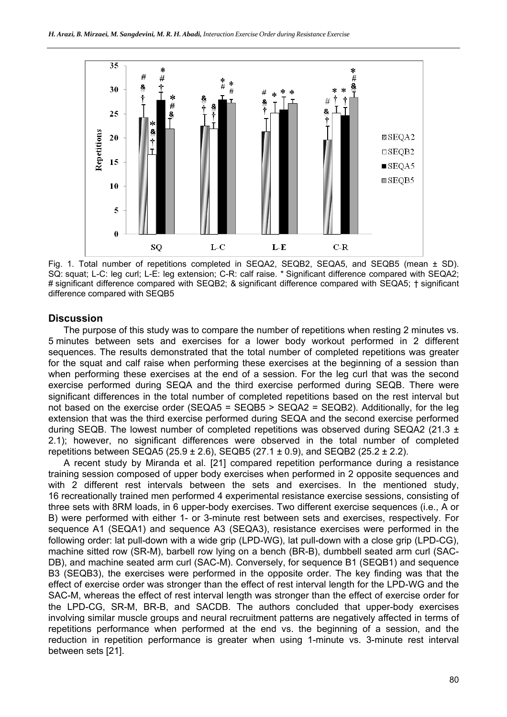

Fig. 1. Total number of repetitions completed in SEQA2, SEQB2, SEQA5, and SEQB5 (mean ± SD). SQ: squat; L-C: leg curl; L-E: leg extension; C-R: calf raise. \* Significant difference compared with SEQA2; # significant difference compared with SEQB2; & significant difference compared with SEQA5; † significant difference compared with SEQB5

# **Discussion**

The purpose of this study was to compare the number of repetitions when resting 2 minutes vs. 5 minutes between sets and exercises for a lower body workout performed in 2 different sequences. The results demonstrated that the total number of completed repetitions was greater for the squat and calf raise when performing these exercises at the beginning of a session than when performing these exercises at the end of a session. For the leg curl that was the second exercise performed during SEQA and the third exercise performed during SEQB. There were significant differences in the total number of completed repetitions based on the rest interval but not based on the exercise order (SEQA5 = SEQB5 > SEQA2 = SEQB2). Additionally, for the leg extension that was the third exercise performed during SEQA and the second exercise performed during SEQB. The lowest number of completed repetitions was observed during SEQA2 (21.3  $\pm$ 2.1); however, no significant differences were observed in the total number of completed repetitions between SEQA5 (25.9  $\pm$  2.6), SEQB5 (27.1  $\pm$  0.9), and SEQB2 (25.2  $\pm$  2.2).

A recent study by Miranda et al. [21] compared repetition performance during a resistance training session composed of upper body exercises when performed in 2 opposite sequences and with 2 different rest intervals between the sets and exercises. In the mentioned study, 16 recreationally trained men performed 4 experimental resistance exercise sessions, consisting of three sets with 8RM loads, in 6 upper-body exercises. Two different exercise sequences (i.e., A or B) were performed with either 1- or 3-minute rest between sets and exercises, respectively. For sequence A1 (SEQA1) and sequence A3 (SEQA3), resistance exercises were performed in the following order: lat pull-down with a wide grip (LPD-WG), lat pull-down with a close grip (LPD-CG), machine sitted row (SR-M), barbell row lying on a bench (BR-B), dumbbell seated arm curl (SAC-DB), and machine seated arm curl (SAC-M). Conversely, for sequence B1 (SEQB1) and sequence B3 (SEQB3), the exercises were performed in the opposite order. The key finding was that the effect of exercise order was stronger than the effect of rest interval length for the LPD-WG and the SAC-M, whereas the effect of rest interval length was stronger than the effect of exercise order for the LPD-CG, SR-M, BR-B, and SACDB. The authors concluded that upper-body exercises involving similar muscle groups and neural recruitment patterns are negatively affected in terms of repetitions performance when performed at the end vs. the beginning of a session, and the reduction in repetition performance is greater when using 1-minute vs. 3-minute rest interval between sets [21].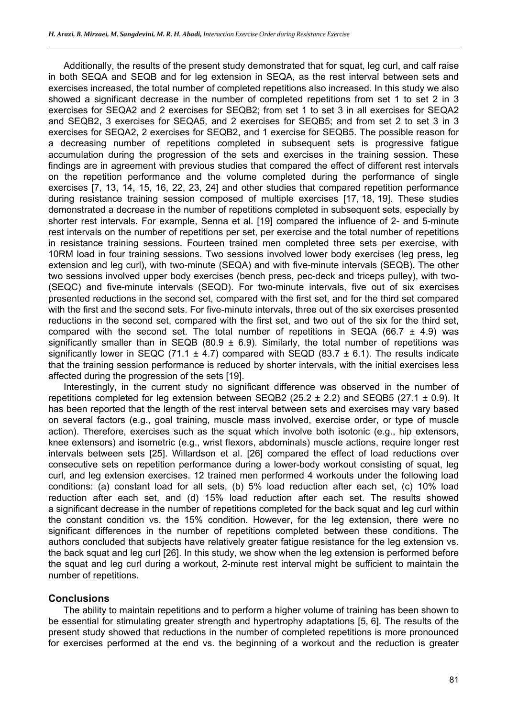Additionally, the results of the present study demonstrated that for squat, leg curl, and calf raise in both SEQA and SEQB and for leg extension in SEQA, as the rest interval between sets and exercises increased, the total number of completed repetitions also increased. In this study we also showed a significant decrease in the number of completed repetitions from set 1 to set 2 in 3 exercises for SEQA2 and 2 exercises for SEQB2; from set 1 to set 3 in all exercises for SEQA2 and SEQB2, 3 exercises for SEQA5, and 2 exercises for SEQB5; and from set 2 to set 3 in 3 exercises for SEQA2, 2 exercises for SEQB2, and 1 exercise for SEQB5. The possible reason for a decreasing number of repetitions completed in subsequent sets is progressive fatigue accumulation during the progression of the sets and exercises in the training session. These findings are in agreement with previous studies that compared the effect of different rest intervals on the repetition performance and the volume completed during the performance of single exercises [7, 13, 14, 15, 16, 22, 23, 24] and other studies that compared repetition performance during resistance training session composed of multiple exercises [17, 18, 19]. These studies demonstrated a decrease in the number of repetitions completed in subsequent sets, especially by shorter rest intervals. For example, Senna et al. [19] compared the influence of 2- and 5-minute rest intervals on the number of repetitions per set, per exercise and the total number of repetitions in resistance training sessions. Fourteen trained men completed three sets per exercise, with 10RM load in four training sessions. Two sessions involved lower body exercises (leg press, leg extension and leg curl), with two-minute (SEQA) and with five-minute intervals (SEQB). The other two sessions involved upper body exercises (bench press, pec-deck and triceps pulley), with two- (SEQC) and five-minute intervals (SEQD). For two-minute intervals, five out of six exercises presented reductions in the second set, compared with the first set, and for the third set compared with the first and the second sets. For five-minute intervals, three out of the six exercises presented reductions in the second set, compared with the first set, and two out of the six for the third set, compared with the second set. The total number of repetitions in SEQA (66.7  $\pm$  4.9) was significantly smaller than in SEQB (80.9  $\pm$  6.9). Similarly, the total number of repetitions was significantly lower in SEQC (71.1  $\pm$  4.7) compared with SEQD (83.7  $\pm$  6.1). The results indicate that the training session performance is reduced by shorter intervals, with the initial exercises less affected during the progression of the sets [19].

Interestingly, in the current study no significant difference was observed in the number of repetitions completed for leg extension between SEQB2 (25.2  $\pm$  2.2) and SEQB5 (27.1  $\pm$  0.9). It has been reported that the length of the rest interval between sets and exercises may vary based on several factors (e.g., goal training, muscle mass involved, exercise order, or type of muscle action). Therefore, exercises such as the squat which involve both isotonic (e.g., hip extensors, knee extensors) and isometric (e.g., wrist flexors, abdominals) muscle actions, require longer rest intervals between sets [25]. Willardson et al. [26] compared the effect of load reductions over consecutive sets on repetition performance during a lower-body workout consisting of squat, leg curl, and leg extension exercises. 12 trained men performed 4 workouts under the following load conditions: (a) constant load for all sets, (b) 5% load reduction after each set, (c) 10% load reduction after each set, and (d) 15% load reduction after each set. The results showed a significant decrease in the number of repetitions completed for the back squat and leg curl within the constant condition vs. the 15% condition. However, for the leg extension, there were no significant differences in the number of repetitions completed between these conditions. The authors concluded that subjects have relatively greater fatigue resistance for the leg extension vs. the back squat and leg curl [26]. In this study, we show when the leg extension is performed before the squat and leg curl during a workout, 2-minute rest interval might be sufficient to maintain the number of repetitions.

# **Conclusions**

The ability to maintain repetitions and to perform a higher volume of training has been shown to be essential for stimulating greater strength and hypertrophy adaptations [5, 6]. The results of the present study showed that reductions in the number of completed repetitions is more pronounced for exercises performed at the end vs. the beginning of a workout and the reduction is greater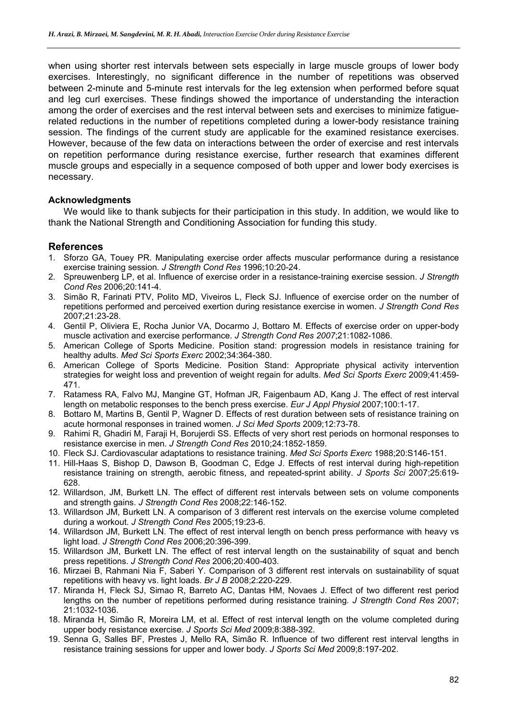when using shorter rest intervals between sets especially in large muscle groups of lower body exercises. Interestingly, no significant difference in the number of repetitions was observed between 2-minute and 5-minute rest intervals for the leg extension when performed before squat and leg curl exercises. These findings showed the importance of understanding the interaction among the order of exercises and the rest interval between sets and exercises to minimize fatiguerelated reductions in the number of repetitions completed during a lower-body resistance training session. The findings of the current study are applicable for the examined resistance exercises. However, because of the few data on interactions between the order of exercise and rest intervals on repetition performance during resistance exercise, further research that examines different muscle groups and especially in a sequence composed of both upper and lower body exercises is necessary.

#### **Acknowledgments**

We would like to thank subjects for their participation in this study. In addition, we would like to thank the National Strength and Conditioning Association for funding this study.

# **References**

- 1. Sforzo GA, Touey PR. Manipulating exercise order affects muscular performance during a resistance exercise training session. *J Strength Cond Res* 1996;10:20-24.
- 2. Spreuwenberg LP, et al. Influence of exercise order in a resistance-training exercise session. *J Strength Cond Res* 2006;20:141-4.
- 3. Simão R, Farinati PTV, Polito MD, Viveiros L, Fleck SJ. Influence of exercise order on the number of repetitions performed and perceived exertion during resistance exercise in women. *J Strength Cond Res*  2007;21:23-28.
- 4. Gentil P, Oliviera E, Rocha Junior VA, Docarmo J, Bottaro M. Effects of exercise order on upper-body muscle activation and exercise performance. *J Strength Cond Res 2007*;21:1082-1086.
- 5. American College of Sports Medicine. Position stand: progression models in resistance training for healthy adults. *Med Sci Sports Exerc* 2002;34:364-380.
- 6. American College of Sports Medicine. Position Stand: Appropriate physical activity intervention strategies for weight loss and prevention of weight regain for adults. *Med Sci Sports Exerc* 2009;41:459- 471.
- 7. Ratamess RA, Falvo MJ, Mangine GT, Hofman JR, Faigenbaum AD, Kang J. The effect of rest interval length on metabolic responses to the bench press exercise. *Eur J Appl Physiol* 2007;100:1-17.
- 8. Bottaro M, Martins B, Gentil P, Wagner D. Effects of rest duration between sets of resistance training on acute hormonal responses in trained women. *J Sci Med Sports* 2009;12:73-78.
- 9. Rahimi R, Ghadiri M, Faraji H, Borujerdi SS. Effects of very short rest periods on hormonal responses to resistance exercise in men. *J Strength Cond Res* 2010;24:1852-1859.
- 10. Fleck SJ. Cardiovascular adaptations to resistance training. *Med Sci Sports Exerc* 1988;20:S146-151.
- 11. Hill-Haas S, Bishop D, Dawson B, Goodman C, Edge J. Effects of rest interval during high-repetition resistance training on strength, aerobic fitness, and repeated-sprint ability. *J Sports Sci* 2007;25:619- 628.
- 12. Willardson, JM, Burkett LN. The effect of different rest intervals between sets on volume components and strength gains. *J Strength Cond Res* 2008;22:146-152.
- 13. Willardson JM, Burkett LN. A comparison of 3 different rest intervals on the exercise volume completed during a workout. *J Strength Cond Res* 2005;19:23-6.
- 14. Willardson JM, Burkett LN. The effect of rest interval length on bench press performance with heavy vs light load. *J Strength Cond Res* 2006;20:396-399.
- 15. Willardson JM, Burkett LN. The effect of rest interval length on the sustainability of squat and bench press repetitions. *J Strength Cond Res* 2006;20:400-403.
- 16. Mirzaei B, Rahmani Nia F, Saberi Y. Comparison of 3 different rest intervals on sustainability of squat repetitions with heavy vs. light loads. *Br J B* 2008;2:220-229.
- 17. Miranda H, Fleck SJ, Simao R, Barreto AC, Dantas HM, Novaes J. Effect of two different rest period lengths on the number of repetitions performed during resistance training. *J Strength Cond Res* 2007; 21:1032-1036.
- 18. Miranda H, Simão R, Moreira LM, et al. Effect of rest interval length on the volume completed during upper body resistance exercise. *J Sports Sci Med* 2009;8:388-392.
- 19. Senna G, Salles BF, Prestes J, Mello RA, Simão R. Influence of two different rest interval lengths in resistance training sessions for upper and lower body. *J Sports Sci Med* 2009;8:197-202.